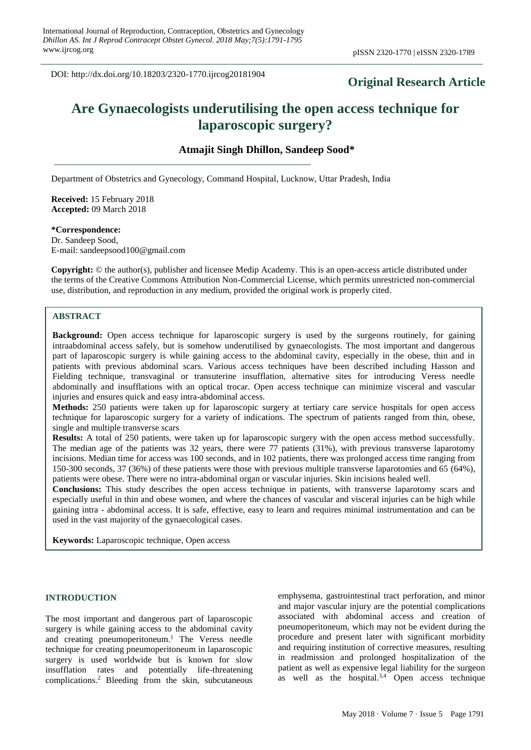DOI: http://dx.doi.org/10.18203/2320-1770.ijrcog20181904

# **Original Research Article**

# **Are Gynaecologists underutilising the open access technique for laparoscopic surgery?**

**Atmajit Singh Dhillon, Sandeep Sood\***

Department of Obstetrics and Gynecology, Command Hospital, Lucknow, Uttar Pradesh, India

**Received:** 15 February 2018 **Accepted:** 09 March 2018

**\*Correspondence:** Dr. Sandeep Sood, E-mail: sandeepsood100@gmail.com

**Copyright:** © the author(s), publisher and licensee Medip Academy. This is an open-access article distributed under the terms of the Creative Commons Attribution Non-Commercial License, which permits unrestricted non-commercial use, distribution, and reproduction in any medium, provided the original work is properly cited.

# **ABSTRACT**

**Background:** Open access technique for laparoscopic surgery is used by the surgeons routinely, for gaining intraabdominal access safely, but is somehow underutilised by gynaecologists. The most important and dangerous part of laparoscopic surgery is while gaining access to the abdominal cavity, especially in the obese, thin and in patients with previous abdominal scars. Various access techniques have been described including Hasson and Fielding technique, transvaginal or transuterine insufflation, alternative sites for introducing Veress needle abdominally and insufflations with an optical trocar. Open access technique can minimize visceral and vascular injuries and ensures quick and easy intra-abdominal access.

**Methods:** 250 patients were taken up for laparoscopic surgery at tertiary care service hospitals for open access technique for laparoscopic surgery for a variety of indications. The spectrum of patients ranged from thin, obese, single and multiple transverse scars

**Results:** A total of 250 patients, were taken up for laparoscopic surgery with the open access method successfully. The median age of the patients was 32 years, there were 77 patients (31%), with previous transverse laparotomy incisions. Median time for access was 100 seconds, and in 102 patients, there was prolonged access time ranging from 150-300 seconds, 37 (36%) of these patients were those with previous multiple transverse laparotomies and 65 (64%), patients were obese. There were no intra-abdominal organ or vascular injuries. Skin incisions healed well.

**Conclusions:** This study describes the open access technique in patients, with transverse laparotomy scars and especially useful in thin and obese women, and where the chances of vascular and visceral injuries can be high while gaining intra - abdominal access. It is safe, effective, easy to learn and requires minimal instrumentation and can be used in the vast majority of the gynaecological cases.

**Keywords:** Laparoscopic technique, Open access

### **INTRODUCTION**

The most important and dangerous part of laparoscopic surgery is while gaining access to the abdominal cavity and creating pneumoperitoneum. <sup>1</sup> The Veress needle technique for creating pneumoperitoneum in laparoscopic surgery is used worldwide but is known for slow insufflation rates and potentially life-threatening complications. <sup>2</sup> Bleeding from the skin, subcutaneous

emphysema, gastrointestinal tract perforation, and minor and major vascular injury are the potential complications associated with abdominal access and creation of pneumoperitoneum, which may not be evident during the procedure and present later with significant morbidity and requiring institution of corrective measures, resulting in readmission and prolonged hospitalization of the patient as well as expensive legal liability for the surgeon as well as the hospital. $3,4$  Open access technique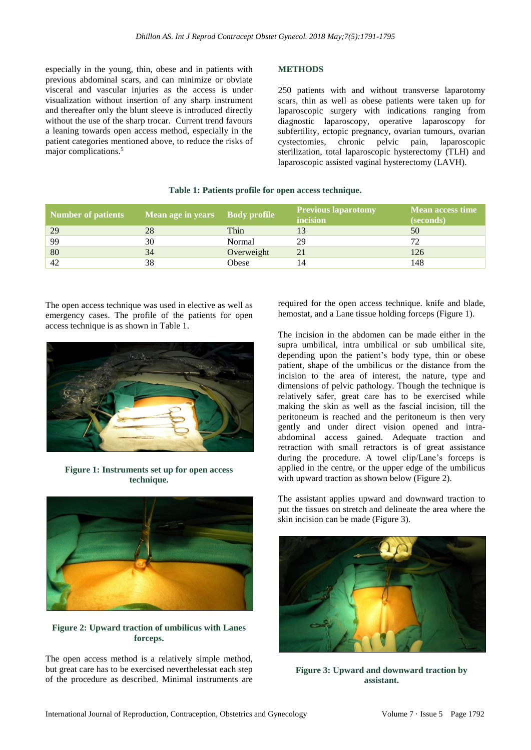especially in the young, thin, obese and in patients with previous abdominal scars, and can minimize or obviate visceral and vascular injuries as the access is under visualization without insertion of any sharp instrument and thereafter only the blunt sleeve is introduced directly without the use of the sharp trocar. Current trend favours a leaning towards open access method, especially in the patient categories mentioned above, to reduce the risks of major complications.<sup>5</sup>

# **METHODS**

250 patients with and without transverse laparotomy scars, thin as well as obese patients were taken up for laparoscopic surgery with indications ranging from diagnostic laparoscopy, operative laparoscopy for subfertility, ectopic pregnancy, ovarian tumours, ovarian cystectomies, chronic pelvic pain, laparoscopic sterilization, total laparoscopic hysterectomy (TLH) and laparoscopic assisted vaginal hysterectomy (LAVH).

# **Table 1: Patients profile for open access technique.**

| Number of patients | Mean age in years | <b>Body profile</b> | <b>Previous laparotomy</b><br>incision | <b>Mean access time</b><br>(seconds) |
|--------------------|-------------------|---------------------|----------------------------------------|--------------------------------------|
| 29                 | 28                | Thin                |                                        | 50                                   |
| 99                 | 30                | Normal              | 29                                     |                                      |
| 80                 | 34                | Overweight          | 21                                     | 126                                  |
| 42                 | 38                | Obese               |                                        | 148                                  |

The open access technique was used in elective as well as emergency cases. The profile of the patients for open access technique is as shown in Table 1.



**Figure 1: Instruments set up for open access technique.**



## **Figure 2: Upward traction of umbilicus with Lanes forceps.**

The open access method is a relatively simple method, but great care has to be exercised neverthelessat each step of the procedure as described. Minimal instruments are required for the open access technique. knife and blade, hemostat, and a Lane tissue holding forceps (Figure 1).

The incision in the abdomen can be made either in the supra umbilical, intra umbilical or sub umbilical site, depending upon the patient's body type, thin or obese patient, shape of the umbilicus or the distance from the incision to the area of interest, the nature, type and dimensions of pelvic pathology. Though the technique is relatively safer, great care has to be exercised while making the skin as well as the fascial incision, till the peritoneum is reached and the peritoneum is then very gently and under direct vision opened and intraabdominal access gained. Adequate traction and retraction with small retractors is of great assistance during the procedure. A towel clip/Lane's forceps is applied in the centre, or the upper edge of the umbilicus with upward traction as shown below (Figure 2).

The assistant applies upward and downward traction to put the tissues on stretch and delineate the area where the skin incision can be made (Figure 3).



**Figure 3: Upward and downward traction by assistant.**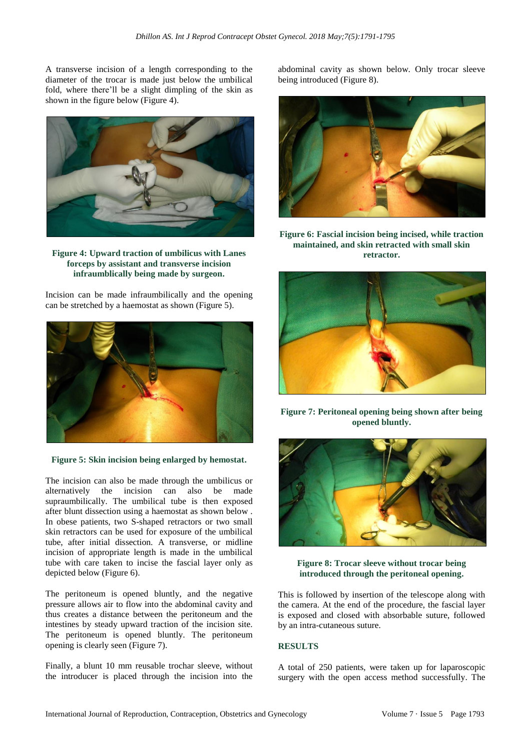A transverse incision of a length corresponding to the diameter of the trocar is made just below the umbilical fold, where there'll be a slight dimpling of the skin as shown in the figure below (Figure 4).



**Figure 4: Upward traction of umbilicus with Lanes forceps by assistant and transverse incision infraumblically being made by surgeon.**

Incision can be made infraumbilically and the opening can be stretched by a haemostat as shown (Figure 5).



**Figure 5: Skin incision being enlarged by hemostat.**

The incision can also be made through the umbilicus or alternatively the incision can also be made supraumbilically. The umbilical tube is then exposed after blunt dissection using a haemostat as shown below . In obese patients, two S-shaped retractors or two small skin retractors can be used for exposure of the umbilical tube, after initial dissection. A transverse, or midline incision of appropriate length is made in the umbilical tube with care taken to incise the fascial layer only as depicted below (Figure 6).

The peritoneum is opened bluntly, and the negative pressure allows air to flow into the abdominal cavity and thus creates a distance between the peritoneum and the intestines by steady upward traction of the incision site. The peritoneum is opened bluntly. The peritoneum opening is clearly seen (Figure 7).

Finally, a blunt 10 mm reusable trochar sleeve, without the introducer is placed through the incision into the abdominal cavity as shown below. Only trocar sleeve being introduced (Figure 8).



**Figure 6: Fascial incision being incised, while traction maintained, and skin retracted with small skin retractor.**



**Figure 7: Peritoneal opening being shown after being opened bluntly.**



**Figure 8: Trocar sleeve without trocar being introduced through the peritoneal opening.**

This is followed by insertion of the telescope along with the camera. At the end of the procedure, the fascial layer is exposed and closed with absorbable suture, followed by an intra-cutaneous suture.

#### **RESULTS**

A total of 250 patients, were taken up for laparoscopic surgery with the open access method successfully. The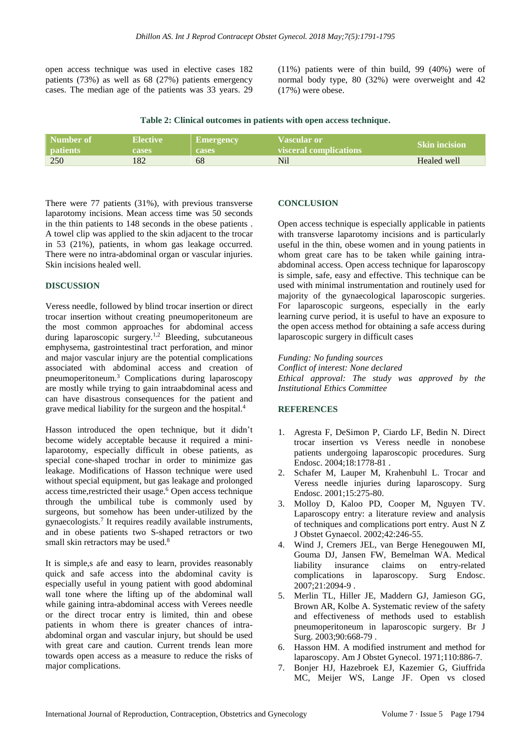open access technique was used in elective cases 182 patients (73%) as well as 68 (27%) patients emergency cases. The median age of the patients was 33 years. 29 (11%) patients were of thin build, 99 (40%) were of normal body type, 80 (32%) were overweight and 42 (17%) were obese.

**Table 2: Clinical outcomes in patients with open access technique.**

| Number of       | <b>Elective</b> | Emergency    | Vascular or            | <b>Skin incision</b> |
|-----------------|-----------------|--------------|------------------------|----------------------|
| <b>patients</b> | <b>cases</b>    | <b>cases</b> | visceral complications |                      |
| 250             | 182             | 68           | Nil                    | Healed well          |

There were 77 patients (31%), with previous transverse laparotomy incisions. Mean access time was 50 seconds in the thin patients to 148 seconds in the obese patients . A towel clip was applied to the skin adjacent to the trocar in 53 (21%), patients, in whom gas leakage occurred. There were no intra-abdominal organ or vascular injuries. Skin incisions healed well.

#### **DISCUSSION**

Veress needle, followed by blind trocar insertion or direct trocar insertion without creating pneumoperitoneum are the most common approaches for abdominal access during laparoscopic surgery.<sup>1,2</sup> Bleeding, subcutaneous emphysema, gastrointestinal tract perforation, and minor and major vascular injury are the potential complications associated with abdominal access and creation of pneumoperitoneum.<sup>3</sup> Complications during laparoscopy are mostly while trying to gain intraabdominal acess and can have disastrous consequences for the patient and grave medical liability for the surgeon and the hospital. 4

Hasson introduced the open technique, but it didn't become widely acceptable because it required a minilaparotomy, especially difficult in obese patients, as special cone-shaped trochar in order to minimize gas leakage. Modifications of Hasson technique were used without special equipment, but gas leakage and prolonged access time, restricted their usage.<sup>6</sup> Open access technique through the umbilical tube is commonly used by surgeons, but somehow has been under-utilized by the gynaecologists.<sup>7</sup> It requires readily available instruments, and in obese patients two S-shaped retractors or two small skin retractors may be used.<sup>8</sup>

It is simple,s afe and easy to learn, provides reasonably quick and safe access into the abdominal cavity is especially useful in young patient with good abdominal wall tone where the lifting up of the abdominal wall while gaining intra-abdominal access with Verees needle or the direct trocar entry is limited, thin and obese patients in whom there is greater chances of intraabdominal organ and vascular injury, but should be used with great care and caution. Current trends lean more towards open access as a measure to reduce the risks of major complications.

#### **CONCLUSION**

Open access technique is especially applicable in patients with transverse laparotomy incisions and is particularly useful in the thin, obese women and in young patients in whom great care has to be taken while gaining intraabdominal access. Open access technique for laparoscopy is simple, safe, easy and effective. This technique can be used with minimal instrumentation and routinely used for majority of the gynaecological laparoscopic surgeries. For laparoscopic surgeons, especially in the early learning curve period, it is useful to have an exposure to the open access method for obtaining a safe access during laparoscopic surgery in difficult cases

*Funding: No funding sources*

*Conflict of interest: None declared Ethical approval: The study was approved by the Institutional Ethics Committee*

#### **REFERENCES**

- 1. Agresta F, DeSimon P, Ciardo LF, Bedin N. Direct trocar insertion vs Veress needle in nonobese patients undergoing laparoscopic procedures. Surg Endosc. 2004;18:1778-81 .
- 2. Schafer M, Lauper M, Krahenbuhl L. Trocar and Veress needle injuries during laparoscopy. Surg Endosc. 2001;15:275-80.
- 3. Molloy D, Kaloo PD, Cooper M, Nguyen TV. Laparoscopy entry: a literature review and analysis of techniques and complications port entry. Aust N Z J Obstet Gynaecol. 2002;42:246-55.
- 4. Wind J, Cremers JEL, van Berge Henegouwen MI, Gouma DJ, Jansen FW, Bemelman WA. Medical liability insurance claims on entry-related complications in laparoscopy. Surg Endosc. 2007;21:2094-9 .
- 5. Merlin TL, Hiller JE, Maddern GJ, Jamieson GG, Brown AR, Kolbe A. Systematic review of the safety and effectiveness of methods used to establish pneumoperitoneum in laparoscopic surgery. Br J Surg. 2003;90:668-79 .
- 6. Hasson HM. A modified instrument and method for laparoscopy. Am J Obstet Gynecol. 1971;110:886-7.
- 7. Bonjer HJ, Hazebroek EJ, Kazemier G, Giuffrida MC, Meijer WS, Lange JF. Open vs closed